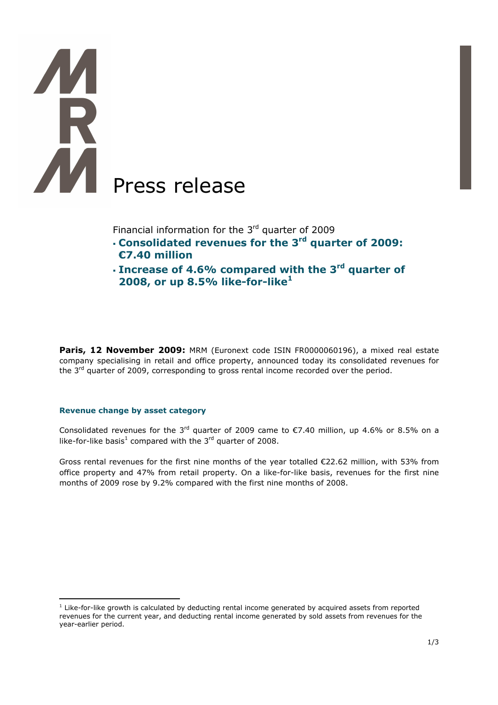# **THE** í Press release

Financial information for the  $3<sup>rd</sup>$  quarter of 2009

- **Consolidated revenues for the 3rd quarter of 2009: €7.40 million**
- **Increase of 4.6% compared with the 3rd quarter of 2008, or up 8.5% like-for-like<sup>1</sup>**

Paris, 12 November 2009: MRM (Euronext code ISIN FR0000060196), a mixed real estate company specialising in retail and office property, announced today its consolidated revenues for the 3<sup>rd</sup> quarter of 2009, corresponding to gross rental income recorded over the period.

# **Revenue change by asset category**

 $\overline{a}$ 

Consolidated revenues for the 3<sup>rd</sup> quarter of 2009 came to  $\epsilon$ 7.40 million, up 4.6% or 8.5% on a like-for-like basis<sup>1</sup> compared with the 3<sup>rd</sup> quarter of 2008.

Gross rental revenues for the first nine months of the year totalled €22.62 million, with 53% from office property and 47% from retail property. On a like-for-like basis, revenues for the first nine months of 2009 rose by 9.2% compared with the first nine months of 2008.

<sup>&</sup>lt;sup>1</sup> Like-for-like growth is calculated by deducting rental income generated by acquired assets from reported revenues for the current year, and deducting rental income generated by sold assets from revenues for the year-earlier period.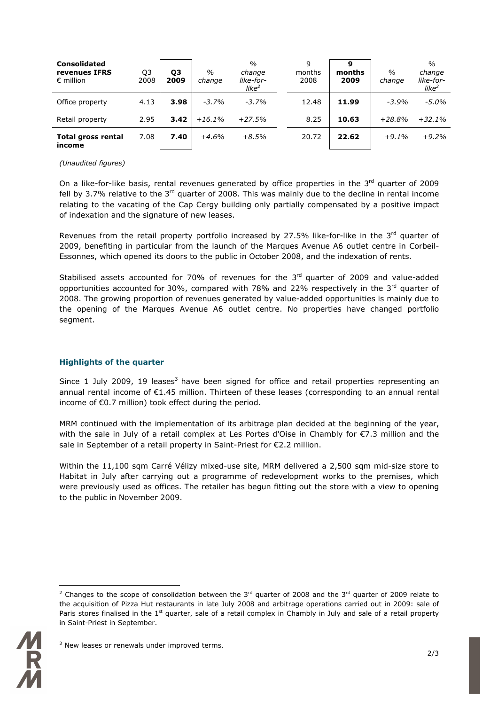| <b>Consolidated</b><br>revenues IFRS<br>$\epsilon$ million | Q3<br>2008 | Q3<br>2009 | $\frac{0}{0}$<br>change | $\frac{0}{0}$<br>change<br>like-for-<br>like $^2$ | 9<br>months<br>2008 | months<br>2009 | $\frac{0}{0}$<br>change | $\frac{0}{0}$<br>change<br>like-for-<br>like <sup>2</sup> |
|------------------------------------------------------------|------------|------------|-------------------------|---------------------------------------------------|---------------------|----------------|-------------------------|-----------------------------------------------------------|
| Office property                                            | 4.13       | 3.98       | $-3.7%$                 | $-3.7%$                                           | 12.48               | 11.99          | $-3.9%$                 | $-5.0\%$                                                  |
| Retail property                                            | 2.95       | 3.42       | $+16.1%$                | $+27.5%$                                          | 8.25                | 10.63          | $+28.8%$                | $+32.1%$                                                  |
| <b>Total gross rental</b><br>income                        | 7.08       | 7.40       | $+4.6%$                 | $+8.5%$                                           | 20.72               | 22.62          | $+9.1%$                 | $+9.2%$                                                   |

### *(Unaudited figures)*

On a like-for-like basis, rental revenues generated by office properties in the 3<sup>rd</sup> quarter of 2009 fell by 3.7% relative to the  $3<sup>rd</sup>$  quarter of 2008. This was mainly due to the decline in rental income relating to the vacating of the Cap Cergy building only partially compensated by a positive impact of indexation and the signature of new leases.

Revenues from the retail property portfolio increased by 27.5% like-for-like in the 3<sup>rd</sup> quarter of 2009, benefiting in particular from the launch of the Marques Avenue A6 outlet centre in Corbeil-Essonnes, which opened its doors to the public in October 2008, and the indexation of rents.

Stabilised assets accounted for 70% of revenues for the  $3<sup>rd</sup>$  quarter of 2009 and value-added opportunities accounted for 30%, compared with 78% and 22% respectively in the 3<sup>rd</sup> quarter of 2008. The growing proportion of revenues generated by value-added opportunities is mainly due to the opening of the Marques Avenue A6 outlet centre. No properties have changed portfolio segment.

## **Highlights of the quarter**

Since 1 July 2009, 19 leases<sup>3</sup> have been signed for office and retail properties representing an annual rental income of €1.45 million. Thirteen of these leases (corresponding to an annual rental income of €0.7 million) took effect during the period.

MRM continued with the implementation of its arbitrage plan decided at the beginning of the year, with the sale in July of a retail complex at Les Portes d'Oise in Chambly for €7.3 million and the sale in September of a retail property in Saint-Priest for €2.2 million.

Within the 11,100 sqm Carré Vélizy mixed-use site, MRM delivered a 2,500 sqm mid-size store to Habitat in July after carrying out a programme of redevelopment works to the premises, which were previously used as offices. The retailer has begun fitting out the store with a view to opening to the public in November 2009.

 $\overline{a}$ <sup>2</sup> Changes to the scope of consolidation between the 3<sup>rd</sup> quarter of 2008 and the 3<sup>rd</sup> quarter of 2009 relate to the acquisition of Pizza Hut restaurants in late July 2008 and arbitrage operations carried out in 2009: sale of Paris stores finalised in the  $1<sup>st</sup>$  quarter, sale of a retail complex in Chambly in July and sale of a retail property in Saint-Priest in September.



<sup>&</sup>lt;sup>3</sup> New leases or renewals under improved terms.